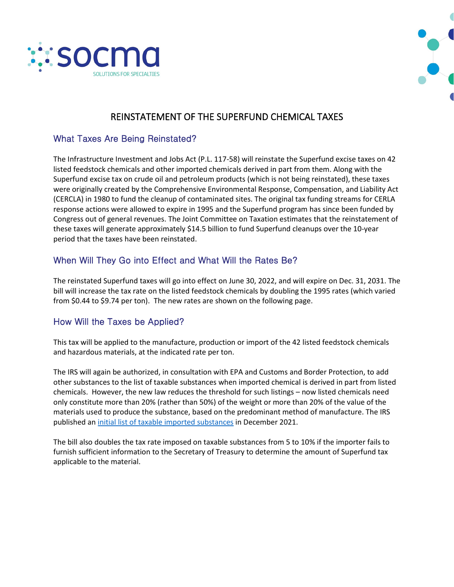



# REINSTATEMENT OF THE SUPERFUND CHEMICAL TAXES

### What Taxes Are Being Reinstated?

The Infrastructure Investment and Jobs Act (P.L. 117-58) will reinstate the Superfund excise taxes on 42 listed feedstock chemicals and other imported chemicals derived in part from them. Along with the Superfund excise tax on crude oil and petroleum products (which is not being reinstated), these taxes were originally created by the Comprehensive Environmental Response, Compensation, and Liability Act (CERCLA) in 1980 to fund the cleanup of contaminated sites. The original tax funding streams for CERLA response actions were allowed to expire in 1995 and the Superfund program has since been funded by Congress out of general revenues. The Joint Committee on Taxation estimates that the reinstatement of these taxes will generate approximately \$14.5 billion to fund Superfund cleanups over the 10-year period that the taxes have been reinstated.

## When Will They Go into Effect and What Will the Rates Be?

The reinstated Superfund taxes will go into effect on June 30, 2022, and will expire on Dec. 31, 2031. The bill will increase the tax rate on the listed feedstock chemicals by doubling the 1995 rates (which varied from \$0.44 to \$9.74 per ton). The new rates are shown on the following page.

### How Will the Taxes be Applied?

This tax will be applied to the manufacture, production or import of the 42 listed feedstock chemicals and hazardous materials, at the indicated rate per ton.

The IRS will again be authorized, in consultation with EPA and Customs and Border Protection, to add other substances to the list of taxable substances when imported chemical is derived in part from listed chemicals. However, the new law reduces the threshold for such listings – now listed chemicals need only constitute more than 20% (rather than 50%) of the weight or more than 20% of the value of the materials used to produce the substance, based on the predominant method of manufacture. The IRS published a[n initial list of taxable imported substances](https://www.irs.gov/pub/irs-drop/n-21-66.pdf) in December 2021.

The bill also doubles the tax rate imposed on taxable substances from 5 to 10% if the importer fails to furnish sufficient information to the Secretary of Treasury to determine the amount of Superfund tax applicable to the material.